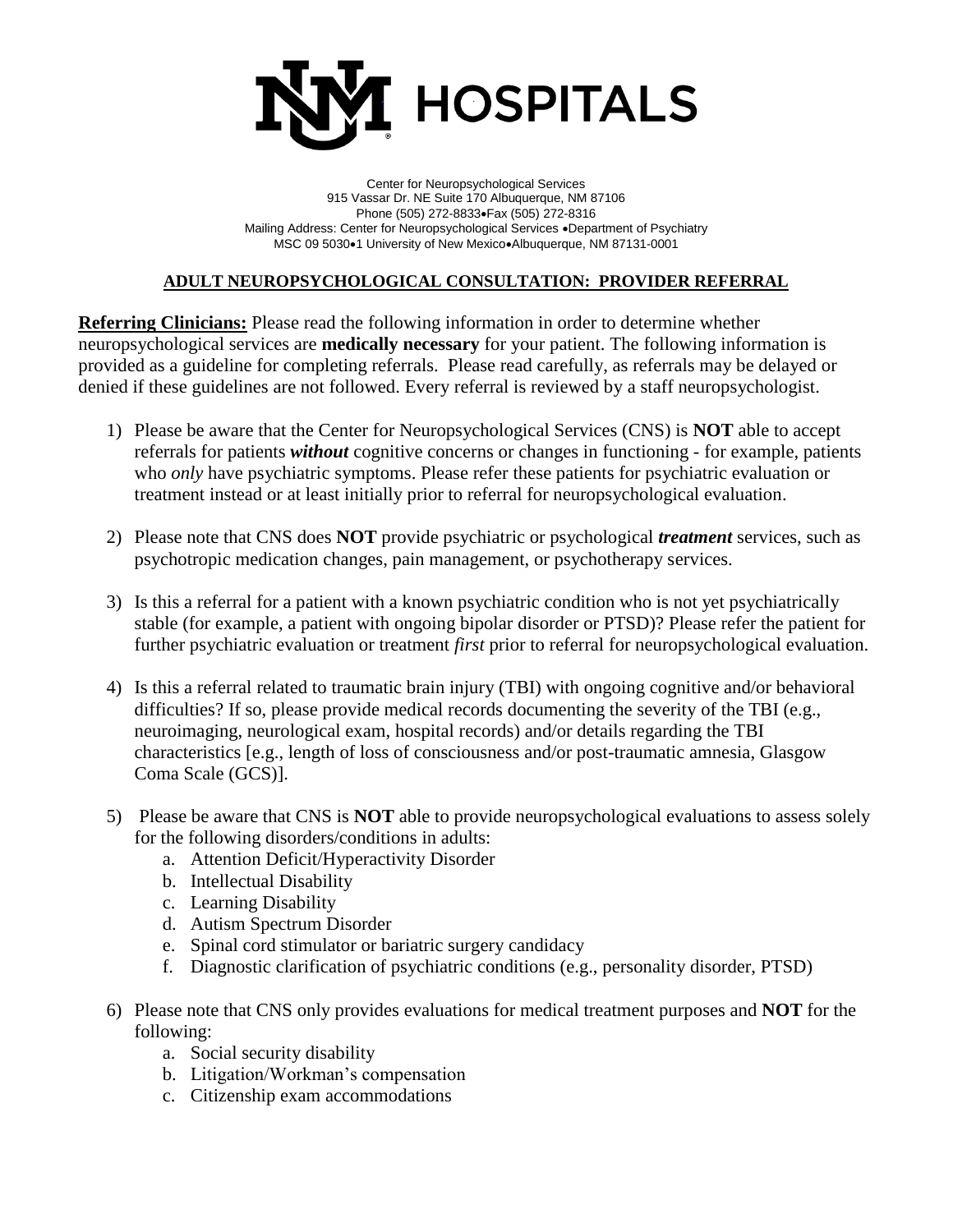

Center for Neuropsychological Services 915 Vassar Dr. NE Suite 170 Albuquerque, NM 87106 Phone (505) 272-8833• Fax (505) 272-8316 Mailing Address: Center for Neuropsychological Services .Department of Psychiatry MSC 09 5030 $\bullet$ 1 University of New Mexico $\bullet$ Albuquerque, NM 87131-0001

## **ADULT NEUROPSYCHOLOGICAL CONSULTATION: PROVIDER REFERRAL**

**Referring Clinicians:** Please read the following information in order to determine whether neuropsychological services are **medically necessary** for your patient. The following information is provided as a guideline for completing referrals. Please read carefully, as referrals may be delayed or denied if these guidelines are not followed. Every referral is reviewed by a staff neuropsychologist.

- 1) Please be aware that the Center for Neuropsychological Services (CNS) is **NOT** able to accept referrals for patients *without* cognitive concerns or changes in functioning - for example, patients who *only* have psychiatric symptoms. Please refer these patients for psychiatric evaluation or treatment instead or at least initially prior to referral for neuropsychological evaluation.
- 2) Please note that CNS does **NOT** provide psychiatric or psychological *treatment* services, such as psychotropic medication changes, pain management, or psychotherapy services.
- 3) Is this a referral for a patient with a known psychiatric condition who is not yet psychiatrically stable (for example, a patient with ongoing bipolar disorder or PTSD)? Please refer the patient for further psychiatric evaluation or treatment *first* prior to referral for neuropsychological evaluation.
- 4) Is this a referral related to traumatic brain injury (TBI) with ongoing cognitive and/or behavioral difficulties? If so, please provide medical records documenting the severity of the TBI (e.g., neuroimaging, neurological exam, hospital records) and/or details regarding the TBI characteristics [e.g., length of loss of consciousness and/or post-traumatic amnesia, Glasgow Coma Scale (GCS)].
- 5) Please be aware that CNS is **NOT** able to provide neuropsychological evaluations to assess solely for the following disorders/conditions in adults:
	- a. Attention Deficit/Hyperactivity Disorder
	- b. Intellectual Disability
	- c. Learning Disability
	- d. Autism Spectrum Disorder
	- e. Spinal cord stimulator or bariatric surgery candidacy
	- f. Diagnostic clarification of psychiatric conditions (e.g., personality disorder, PTSD)
- 6) Please note that CNS only provides evaluations for medical treatment purposes and **NOT** for the following:
	- a. Social security disability
	- b. Litigation/Workman's compensation
	- c. Citizenship exam accommodations